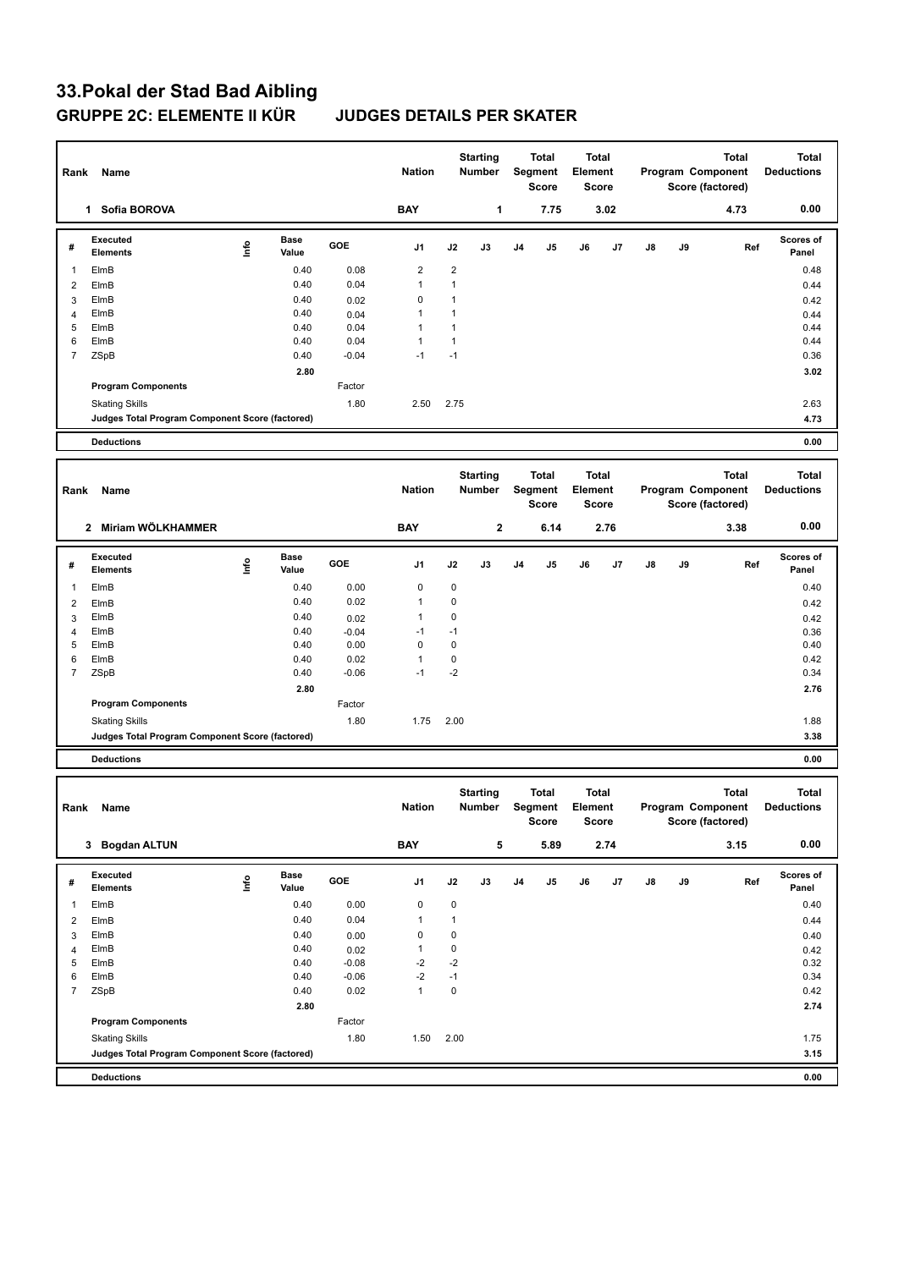## **33.Pokal der Stad Bad Aibling GRUPPE 2C: ELEMENTE II KÜR JUDGES DETAILS PER SKATER**

| Rank<br>Name        |                                                 |               |                      |                 | <b>Nation</b>        |                   | <b>Starting</b><br>Number |                           | <b>Total</b><br>Segment<br><b>Score</b> |                                  | Total<br>Element<br><b>Score</b> |    |                   | Total<br>Program Component<br>Score (factored) | <b>Total</b><br><b>Deductions</b> |
|---------------------|-------------------------------------------------|---------------|----------------------|-----------------|----------------------|-------------------|---------------------------|---------------------------|-----------------------------------------|----------------------------------|----------------------------------|----|-------------------|------------------------------------------------|-----------------------------------|
|                     | 1 Sofia BOROVA                                  |               |                      |                 | <b>BAY</b>           |                   | 1                         |                           | 7.75                                    |                                  | 3.02                             |    |                   | 4.73                                           | 0.00                              |
| #                   | <b>Executed</b><br><b>Elements</b>              | lnfo          | <b>Base</b><br>Value | GOE             | J1                   | J2                | J3                        | J4                        | J5                                      | J6                               | J7                               | J8 | J9                | Ref                                            | Scores of<br>Panel                |
| $\mathbf{1}$        | ElmB                                            |               | 0.40                 | 0.08            | $\overline{2}$       | $\overline{2}$    |                           |                           |                                         |                                  |                                  |    |                   |                                                | 0.48                              |
| $\overline{2}$      | ElmB                                            |               | 0.40                 | 0.04            | $\mathbf{1}$         | $\mathbf{1}$      |                           |                           |                                         |                                  |                                  |    |                   |                                                | 0.44                              |
| 3                   | ElmB                                            |               | 0.40                 | 0.02            | $\pmb{0}$            | $\mathbf{1}$      |                           |                           |                                         |                                  |                                  |    |                   |                                                | 0.42                              |
| $\overline{4}$      | ElmB                                            |               | 0.40                 | 0.04            | 1                    | $\mathbf{1}$      |                           |                           |                                         |                                  |                                  |    |                   |                                                | 0.44                              |
| 5                   | ElmB                                            |               | 0.40                 | 0.04            | $\mathbf{1}$         | $\mathbf{1}$      |                           |                           |                                         |                                  |                                  |    |                   |                                                | 0.44                              |
| 6                   | ElmB                                            |               | 0.40                 | 0.04            | 1<br>$-1$            | $\mathbf{1}$      |                           |                           |                                         |                                  |                                  |    |                   |                                                | 0.44                              |
| $\overline{7}$      | ZSpB                                            |               | 0.40                 | $-0.04$         |                      | $-1$              |                           |                           |                                         |                                  |                                  |    |                   |                                                | 0.36                              |
|                     | <b>Program Components</b>                       |               | 2.80                 | Factor          |                      |                   |                           |                           |                                         |                                  |                                  |    |                   |                                                | 3.02                              |
|                     | <b>Skating Skills</b>                           |               |                      | 1.80            | 2.50                 | 2.75              |                           |                           |                                         |                                  |                                  |    |                   |                                                | 2.63                              |
|                     | Judges Total Program Component Score (factored) |               |                      |                 |                      |                   |                           |                           |                                         |                                  |                                  |    |                   |                                                | 4.73                              |
|                     | <b>Deductions</b>                               |               |                      |                 |                      |                   |                           |                           |                                         |                                  |                                  |    |                   |                                                | 0.00                              |
|                     |                                                 |               |                      |                 |                      |                   |                           |                           |                                         |                                  |                                  |    |                   |                                                |                                   |
|                     |                                                 |               |                      |                 | <b>Starting</b>      |                   | <b>Total</b>              |                           | <b>Total</b>                            |                                  |                                  |    | <b>Total</b>      | <b>Total</b>                                   |                                   |
| Rank                | Name                                            |               |                      |                 | <b>Nation</b>        |                   | <b>Number</b>             |                           | Segment                                 | Element                          |                                  |    |                   | Program Component                              | <b>Deductions</b>                 |
|                     |                                                 |               |                      |                 |                      |                   |                           |                           | <b>Score</b>                            |                                  | <b>Score</b>                     |    |                   | Score (factored)                               |                                   |
|                     | 2 Miriam WÖLKHAMMER                             |               |                      |                 | <b>BAY</b>           |                   | $\mathbf{2}$              |                           | 6.14                                    |                                  | 2.76                             |    |                   | 3.38                                           | 0.00                              |
|                     | <b>Executed</b>                                 |               | <b>Base</b>          |                 |                      |                   |                           |                           |                                         |                                  |                                  |    |                   |                                                | Scores of                         |
| #                   | <b>Elements</b>                                 | lnfo          | Value                | GOE             | J1                   | J2                | J3                        | J <sub>4</sub>            | J5                                      | J6                               | J7                               | J8 | J9                | Ref                                            | Panel                             |
| 1                   | ElmB                                            |               | 0.40                 | 0.00            | 0                    | $\pmb{0}$         |                           |                           |                                         |                                  |                                  |    |                   |                                                | 0.40                              |
| $\overline{2}$      | ElmB                                            |               | 0.40                 | 0.02            | 1                    | $\mathbf 0$       |                           |                           |                                         |                                  |                                  |    |                   |                                                | 0.42                              |
| 3                   | ElmB                                            |               | 0.40                 | 0.02            | 1                    | $\mathbf 0$       |                           |                           |                                         |                                  |                                  |    |                   |                                                | 0.42                              |
| $\overline{4}$      | ElmB                                            |               | 0.40                 | $-0.04$         | $-1$                 | $-1$              |                           |                           |                                         |                                  |                                  |    |                   |                                                | 0.36                              |
| 5                   | ElmB                                            |               | 0.40                 | 0.00            | $\pmb{0}$            | $\mathbf 0$       |                           |                           |                                         |                                  |                                  |    |                   |                                                | 0.40                              |
| 6                   | ElmB                                            |               | 0.40                 | 0.02            | 1<br>$-1$            | $\pmb{0}$<br>$-2$ |                           |                           |                                         |                                  |                                  |    |                   |                                                | 0.42                              |
| $\overline{7}$      | ZSpB                                            |               | 0.40<br>2.80         | $-0.06$         |                      |                   |                           |                           |                                         |                                  |                                  |    |                   |                                                | 0.34<br>2.76                      |
|                     | <b>Program Components</b>                       |               |                      | Factor          |                      |                   |                           |                           |                                         |                                  |                                  |    |                   |                                                |                                   |
|                     | <b>Skating Skills</b>                           |               |                      | 1.80            | 1.75                 | 2.00              |                           |                           |                                         |                                  |                                  |    |                   |                                                | 1.88                              |
|                     | Judges Total Program Component Score (factored) |               |                      |                 |                      |                   |                           |                           |                                         |                                  |                                  |    |                   |                                                | 3.38                              |
|                     | <b>Deductions</b>                               |               |                      |                 |                      |                   |                           |                           |                                         |                                  |                                  |    |                   |                                                | 0.00                              |
|                     |                                                 |               |                      |                 |                      |                   |                           |                           |                                         |                                  |                                  |    |                   |                                                |                                   |
| Rank<br>Name        |                                                 |               |                      |                 |                      |                   | <b>Starting</b>           | Total<br>Segment<br>Score |                                         | <b>Total</b><br>Element<br>Score |                                  |    |                   | <b>Total</b>                                   | <b>Total</b>                      |
|                     |                                                 |               |                      |                 | <b>Nation</b>        | <b>Number</b>     |                           |                           |                                         |                                  |                                  |    | Program Component |                                                | <b>Deductions</b>                 |
|                     |                                                 |               |                      |                 |                      |                   |                           |                           |                                         |                                  |                                  |    |                   | Score (factored)                               |                                   |
|                     | 3 Bogdan ALTUN                                  |               |                      |                 | <b>BAY</b>           |                   | 5                         |                           | 5.89                                    |                                  | 2.74                             |    |                   | 3.15                                           | 0.00                              |
|                     | Executed                                        |               | Base                 |                 |                      |                   |                           |                           |                                         |                                  |                                  |    |                   |                                                | Scores of                         |
| #                   | <b>Elements</b>                                 | $\frac{6}{2}$ | Value                | GOE             | J1                   | J2                | J3                        | J4                        | J5                                      | J6                               | J7                               | J8 | J9                | Ref                                            | Panel                             |
| $\mathbf{1}$        | ElmB                                            |               | 0.40                 | 0.00            | $\pmb{0}$            | $\pmb{0}$         |                           |                           |                                         |                                  |                                  |    |                   |                                                | 0.40                              |
| $\overline{2}$      | ElmB                                            |               | 0.40                 | 0.04            | $\mathbf{1}$         | $\mathbf{1}$      |                           |                           |                                         |                                  |                                  |    |                   |                                                | 0.44                              |
| 3                   | ElmB                                            |               | 0.40                 | 0.00            | $\pmb{0}$            | $\pmb{0}$         |                           |                           |                                         |                                  |                                  |    |                   |                                                | 0.40                              |
| $\overline{4}$      | ElmB                                            |               | 0.40                 | 0.02            | 1                    | $\pmb{0}$         |                           |                           |                                         |                                  |                                  |    |                   |                                                | 0.42                              |
| 5                   | ElmB                                            |               | 0.40                 | $-0.08$         | $-2$                 | $-2$<br>$-1$      |                           |                           |                                         |                                  |                                  |    |                   |                                                | 0.32                              |
| 6<br>$\overline{7}$ | ElmB<br>ZSpB                                    |               | 0.40<br>0.40         | $-0.06$<br>0.02 | $-2$<br>$\mathbf{1}$ | 0                 |                           |                           |                                         |                                  |                                  |    |                   |                                                | 0.34<br>0.42                      |
|                     |                                                 |               | 2.80                 |                 |                      |                   |                           |                           |                                         |                                  |                                  |    |                   |                                                | 2.74                              |
|                     | <b>Program Components</b>                       |               |                      | Factor          |                      |                   |                           |                           |                                         |                                  |                                  |    |                   |                                                |                                   |
|                     | <b>Skating Skills</b>                           |               |                      | 1.80            | 1.50                 | 2.00              |                           |                           |                                         |                                  |                                  |    |                   |                                                | 1.75                              |
|                     | Judges Total Program Component Score (factored) |               |                      |                 |                      |                   |                           |                           |                                         |                                  |                                  |    |                   |                                                | 3.15                              |
|                     |                                                 |               |                      |                 |                      |                   |                           |                           |                                         |                                  |                                  |    |                   |                                                |                                   |
|                     | <b>Deductions</b>                               |               |                      |                 |                      |                   |                           |                           |                                         |                                  |                                  |    |                   |                                                | 0.00                              |